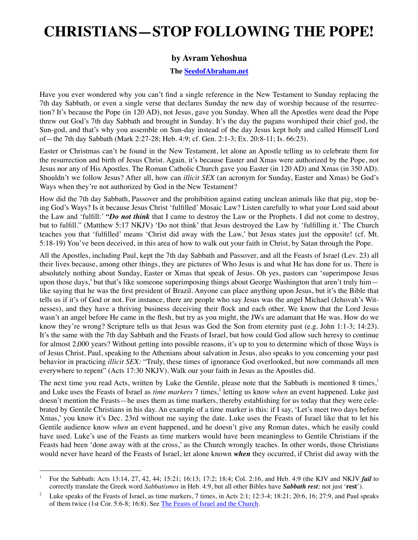## **CHRISTIANS—STOP FOLLOWING THE POPE!**

## **by Avram Yehoshua**

## **The [SeedofAbraham.net](http://SeedofAbraham.net)**

Have you ever wondered why you can't find a single reference in the New Testament to Sunday replacing the 7th day Sabbath, or even a single verse that declares Sunday the new day of worship because of the resurrection? It's because the Pope (in 120 AD), not Jesus, gave you Sunday. When all the Apostles were dead the Pope threw out God's 7th day Sabbath and brought in Sunday. It's the day the pagans worshiped their chief god, the Sun-god, and that's why you assemble on Sun-day instead of the day Jesus kept holy and called Himself Lord of—the 7th day Sabbath (Mark 2:27-28; Heb. 4:9; cf. Gen. 2:1-3; Ex. 20:8-11; Is. 66:23).

Easter or Christmas can't be found in the New Testament, let alone an Apostle telling us to celebrate them for the resurrection and birth of Jesus Christ. Again, it's because Easter and Xmas were authorized by the Pope, not Jesus nor any of His Apostles. The Roman Catholic Church gave you Easter (in 120 AD) and Xmas (in 350 AD). Shouldn't we follow Jesus? After all, how can *illicit SEX* (an acronym for Sunday, Easter and Xmas) be God's Ways when they're not authorized by God in the New Testament?

How did the 7th day Sabbath, Passover and the prohibition against eating unclean animals like that pig, stop being God's Ways? Is it because Jesus Christ 'fulfilled' Mosaic Law? Listen carefully to what your Lord said about the Law and 'fulfill:' *"Do not think* that I came to destroy the Law or the Prophets. I did not come to destroy, but to fulfill." (Matthew 5:17 NKJV) 'Do not think' that Jesus destroyed the Law by 'fulfilling it.' The Church teaches you that 'fulfilled' means 'Christ did away with the Law,' but Jesus states just the opposite! (cf. Mt. 5:18-19) You've been deceived, in this area of how to walk out your faith in Christ, by Satan through the Pope.

All the Apostles, including Paul, kept the 7th day Sabbath and Passover, and all the Feasts of Israel (Lev. 23) all their lives because, among other things, they are pictures of Who Jesus is and what He has done for us. There is absolutely nothing about Sunday, Easter or Xmas that speak of Jesus. Oh yes, pastors can 'superimpose Jesus upon those days,' but that's like someone superimposing things about George Washington that aren't truly him like saying that he was the first president of Brazil. Anyone can place anything upon Jesus, but it's the Bible that tells us if it's of God or not. For instance, there are people who say Jesus was the angel Michael (Jehovah's Witnesses), and they have a thriving business deceiving their flock and each other. We know that the Lord Jesus wasn't an angel before He came in the flesh, but try as you might, the JWs are adamant that He was. How do we know they're wrong? Scripture tells us that Jesus was God the Son from eternity past (e.g. John 1:1-3; 14:23). It's the same with the 7th day Sabbath and the Feasts of Israel, but how could God allow such heresy to continue for almost 2,000 years? Without getting into possible reasons, it's up to you to determine which of those Ways is of Jesus Christ. Paul, speaking to the Athenians about salvation in Jesus, also speaks to you concerning your past behavior in practicing *illicit SEX:* "Truly, these times of ignorance God overlooked, but now commands all men everywhere to repent" (Acts 17:30 NKJV). Walk our your faith in Jesus as the Apostles did.

The next time you read Acts, written by Luke the Gentile, please note that the Sabbath is mentioned 8 times,<sup>1</sup> and Luke uses the Feasts of Israel as *time markers* 7 times,<sup>2</sup> letting us know *when* an event happened. Luke just doesn't mention the Feasts—he uses them as time markers, thereby establishing for us today that they were celebrated by Gentile Christians in his day. An example of a time marker is this: if I say, 'Let's meet two days before Xmas,' you know it's Dec. 23rd without me saying the date. Luke uses the Feasts of Israel like that to let his Gentile audience know *when* an event happened, and he doesn't give any Roman dates, which he easily could have used. Luke's use of the Feasts as time markers would have been meaningless to Gentile Christians if the Feasts had been 'done away with at the cross,' as the Church wrongly teaches. In other words, those Christians would never have heard of the Feasts of Israel, let alone known *when* they occurred, if Christ did away with the

<sup>1</sup> For the Sabbath: Acts 13:14, 27, 42, 44; 15:21; 16:13; 17:2; 18:4; Col. 2:16, and Heb. 4:9 (the KJV and NKJV *fail* to correctly translate the Greek word *Sabbatismos* in Heb. 4:9, but all other Bibles have *Sabbath rest;* not just '**rest**').

<sup>2</sup> Luke speaks of the Feasts of Israel, as time markers, 7 times, in Acts 2:1; 12:3-4; 18:21; 20:6, 16; 27:9, and Paul speaks of them twice (1st Cor. 5:6-8; 16:8). See [The Feasts of Israel and the Church](http://seedofabraham.net/The-Feasts-of-Israel-and-the-Church.pdf).